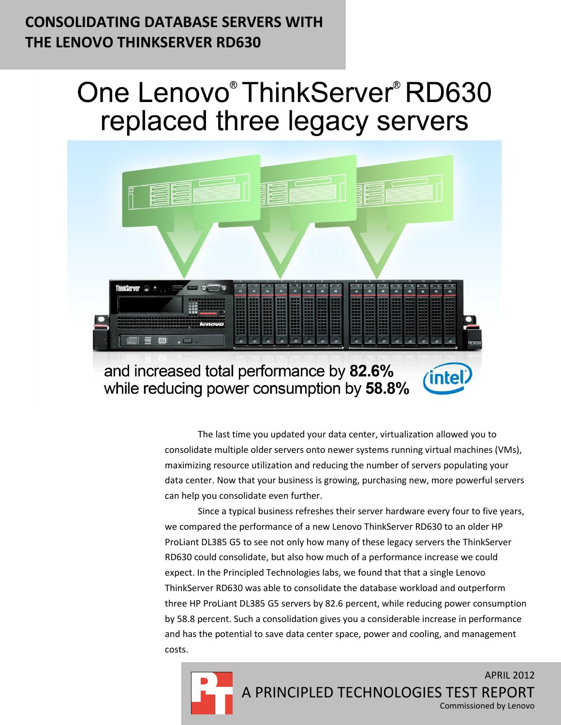# **CONSOLIDATING DATABASE SERVERS WITH THE LENOVO THINKSERVER RD630**

# One Lenovo® ThinkServer® RD630 replaced three legacy servers



The last time you updated your data center, virtualization allowed you to consolidate multiple older servers onto newer systems running virtual machines (VMs), maximizing resource utilization and reducing the number of servers populating your data center. Now that your business is growing, purchasing new, more powerful servers can help you consolidate even further.

Since a typical business refreshes their server hardware every four to five years, we compared the performance of a new Lenovo ThinkServer RD630 to an older HP ProLiant DL385 G5 to see not only how many of these legacy servers the ThinkServer RD630 could consolidate, but also how much of a performance increase we could expect. In the Principled Technologies labs, we found that that a single Lenovo ThinkServer RD630 was able to consolidate the database workload and outperform three HP ProLiant DL385 G5 servers by 82.6 percent, while reducing power consumption by 58.8 percent. Such a consolidation gives you a considerable increase in performance and has the potential to save data center space, power and cooling, and management costs.

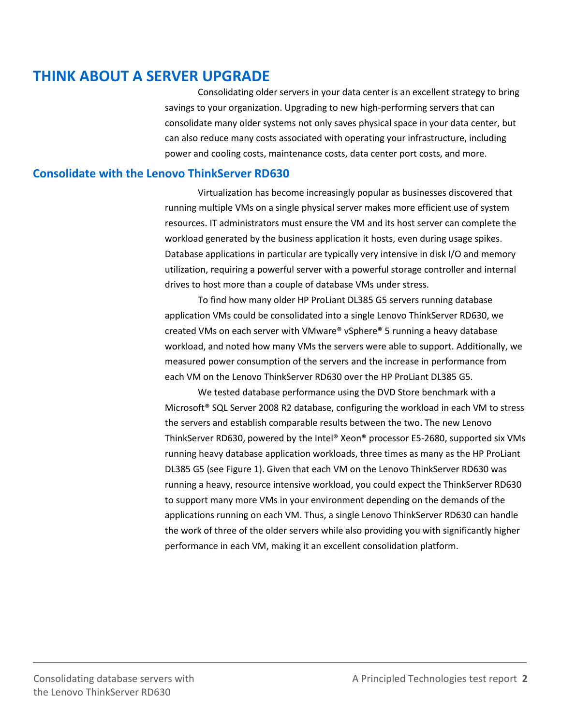# **THINK ABOUT A SERVER UPGRADE**

Consolidating older servers in your data center is an excellent strategy to bring savings to your organization. Upgrading to new high-performing servers that can consolidate many older systems not only saves physical space in your data center, but can also reduce many costs associated with operating your infrastructure, including power and cooling costs, maintenance costs, data center port costs, and more.

### **Consolidate with the Lenovo ThinkServer RD630**

Virtualization has become increasingly popular as businesses discovered that running multiple VMs on a single physical server makes more efficient use of system resources. IT administrators must ensure the VM and its host server can complete the workload generated by the business application it hosts, even during usage spikes. Database applications in particular are typically very intensive in disk I/O and memory utilization, requiring a powerful server with a powerful storage controller and internal drives to host more than a couple of database VMs under stress.

To find how many older HP ProLiant DL385 G5 servers running database application VMs could be consolidated into a single Lenovo ThinkServer RD630, we created VMs on each server with VMware® vSphere® 5 running a heavy database workload, and noted how many VMs the servers were able to support. Additionally, we measured power consumption of the servers and the increase in performance from each VM on the Lenovo ThinkServer RD630 over the HP ProLiant DL385 G5.

We tested database performance using the DVD Store benchmark with a Microsoft® SQL Server 2008 R2 database, configuring the workload in each VM to stress the servers and establish comparable results between the two. The new Lenovo ThinkServer RD630, powered by the Intel® Xeon® processor E5-2680, supported six VMs running heavy database application workloads, three times as many as the HP ProLiant DL385 G5 (see Figure 1). Given that each VM on the Lenovo ThinkServer RD630 was running a heavy, resource intensive workload, you could expect the ThinkServer RD630 to support many more VMs in your environment depending on the demands of the applications running on each VM. Thus, a single Lenovo ThinkServer RD630 can handle the work of three of the older servers while also providing you with significantly higher performance in each VM, making it an excellent consolidation platform.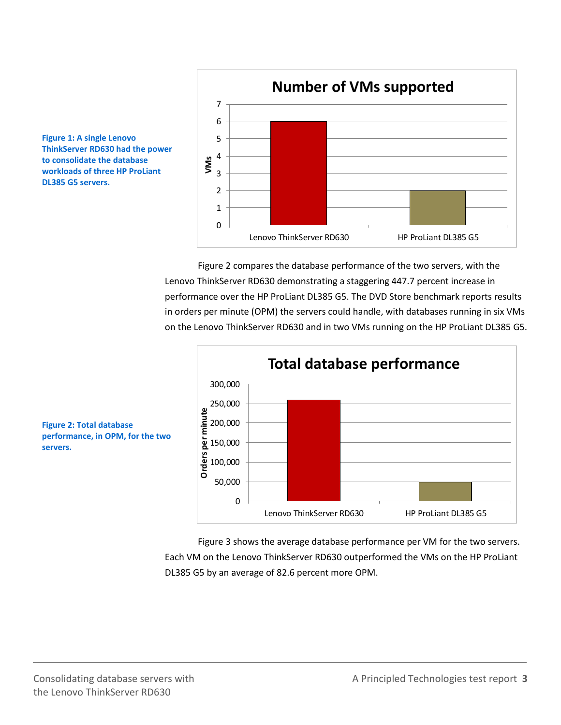



Figure 2 compares the database performance of the two servers, with the Lenovo ThinkServer RD630 demonstrating a staggering 447.7 percent increase in performance over the HP ProLiant DL385 G5. The DVD Store benchmark reports results in orders per minute (OPM) the servers could handle, with databases running in six VMs on the Lenovo ThinkServer RD630 and in two VMs running on the HP ProLiant DL385 G5.



**Figure 2: Total database performance, in OPM, for the two servers.**

> Figure 3 shows the average database performance per VM for the two servers. Each VM on the Lenovo ThinkServer RD630 outperformed the VMs on the HP ProLiant DL385 G5 by an average of 82.6 percent more OPM.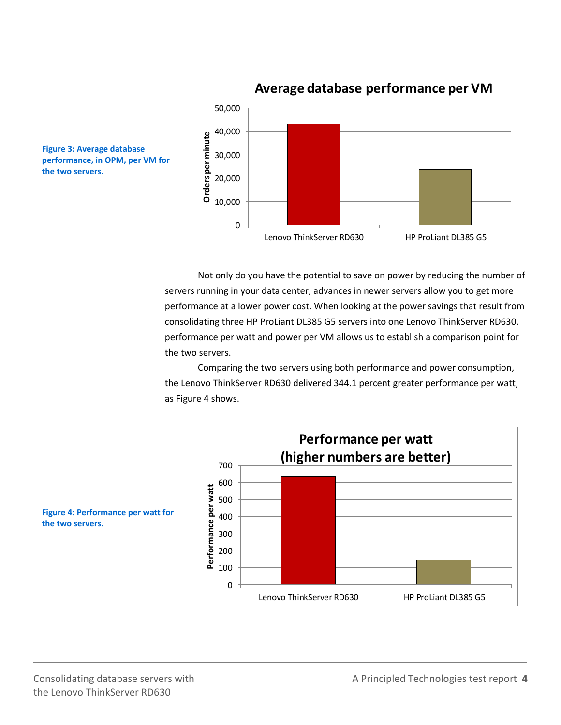



Not only do you have the potential to save on power by reducing the number of servers running in your data center, advances in newer servers allow you to get more performance at a lower power cost. When looking at the power savings that result from consolidating three HP ProLiant DL385 G5 servers into one Lenovo ThinkServer RD630, performance per watt and power per VM allows us to establish a comparison point for the two servers.

Comparing the two servers using both performance and power consumption, the Lenovo ThinkServer RD630 delivered 344.1 percent greater performance per watt, as Figure 4 shows.



**Figure 4: Performance per watt for the two servers.**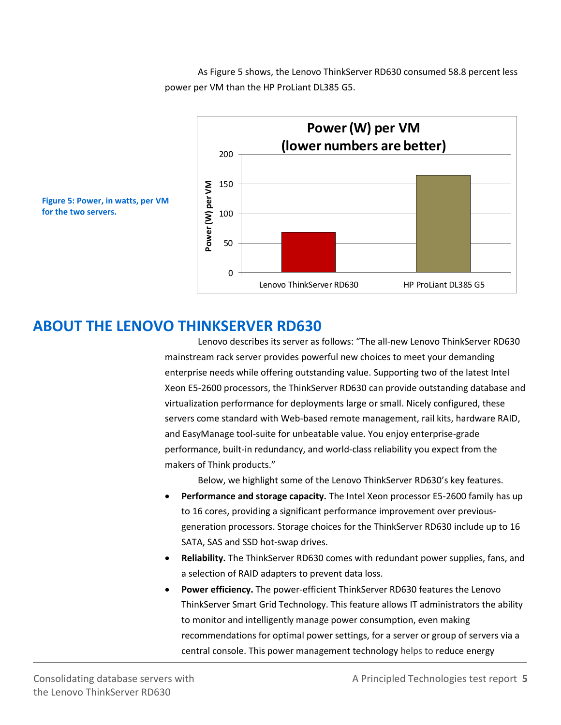As Figure 5 shows, the Lenovo ThinkServer RD630 consumed 58.8 percent less power per VM than the HP ProLiant DL385 G5.



**for the two servers.**

### **ABOUT THE LENOVO THINKSERVER RD630**

Lenovo describes its server as follows: "The all-new Lenovo ThinkServer RD630 mainstream rack server provides powerful new choices to meet your demanding enterprise needs while offering outstanding value. Supporting two of the latest Intel Xeon E5-2600 processors, the ThinkServer RD630 can provide outstanding database and virtualization performance for deployments large or small. Nicely configured, these servers come standard with Web-based remote management, rail kits, hardware RAID, and EasyManage tool-suite for unbeatable value. You enjoy enterprise-grade performance, built-in redundancy, and world-class reliability you expect from the makers of Think products."

Below, we highlight some of the Lenovo ThinkServer RD630's key features.

- **Performance and storage capacity.** The Intel Xeon processor E5-2600 family has up to 16 cores, providing a significant performance improvement over previousgeneration processors. Storage choices for the ThinkServer RD630 include up to 16 SATA, SAS and SSD hot-swap drives.
- **Reliability.** The ThinkServer RD630 comes with redundant power supplies, fans, and a selection of RAID adapters to prevent data loss.
- **Power efficiency.** The power-efficient ThinkServer RD630 features the Lenovo ThinkServer Smart Grid Technology. This feature allows IT administrators the ability to monitor and intelligently manage power consumption, even making recommendations for optimal power settings, for a server or group of servers via a central console. This power management technology helps to reduce energy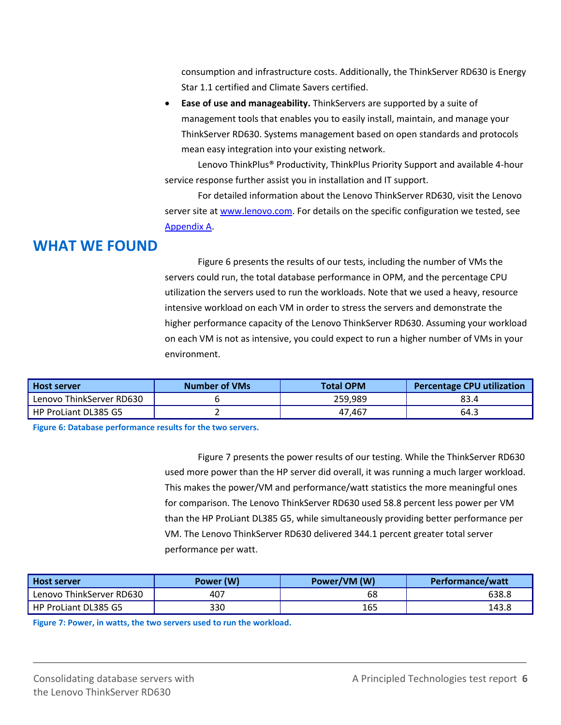consumption and infrastructure costs. Additionally, the ThinkServer RD630 is Energy Star 1.1 certified and Climate Savers certified.

 **Ease of use and manageability.** ThinkServers are supported by a suite of management tools that enables you to easily install, maintain, and manage your ThinkServer RD630. Systems management based on open standards and protocols mean easy integration into your existing network.

Lenovo ThinkPlus® Productivity, ThinkPlus Priority Support and available 4-hour service response further assist you in installation and IT support.

For detailed information about the Lenovo ThinkServer RD630, visit the Lenovo server site at [www.lenovo.com.](file:///C:/Users/Administrator/AppData/Local/Microsoft/Windows/Temporary%20Internet%20Files/Content.Outlook/R10NE93R/www.lenovo.com) For details on the specific configuration we tested, see [Appendix A.](#page-7-0)

# **WHAT WE FOUND**

Figure 6 presents the results of our tests, including the number of VMs the servers could run, the total database performance in OPM, and the percentage CPU utilization the servers used to run the workloads. Note that we used a heavy, resource intensive workload on each VM in order to stress the servers and demonstrate the higher performance capacity of the Lenovo ThinkServer RD630. Assuming your workload on each VM is not as intensive, you could expect to run a higher number of VMs in your environment.

| <b>Host server</b>       | <b>Number of VMs</b> | <b>Total OPM</b> | <b>Percentage CPU utilization</b> |
|--------------------------|----------------------|------------------|-----------------------------------|
| Lenovo ThinkServer RD630 |                      | 259,989          | 83.4                              |
| HP ProLiant DL385 G5     |                      | 47,467           | 64.3                              |

**Figure 6: Database performance results for the two servers.**

Figure 7 presents the power results of our testing. While the ThinkServer RD630 used more power than the HP server did overall, it was running a much larger workload. This makes the power/VM and performance/watt statistics the more meaningful ones for comparison. The Lenovo ThinkServer RD630 used 58.8 percent less power per VM than the HP ProLiant DL385 G5, while simultaneously providing better performance per VM. The Lenovo ThinkServer RD630 delivered 344.1 percent greater total server performance per watt.

| <b>Host server</b>       | Power (W) | Power/VM (W) | Performance/watt |
|--------------------------|-----------|--------------|------------------|
| Lenovo ThinkServer RD630 | 407       | 68           | 638.8            |
| HP ProLiant DL385 G5     | 330       | 165          | 143.8            |

**Figure 7: Power, in watts, the two servers used to run the workload.**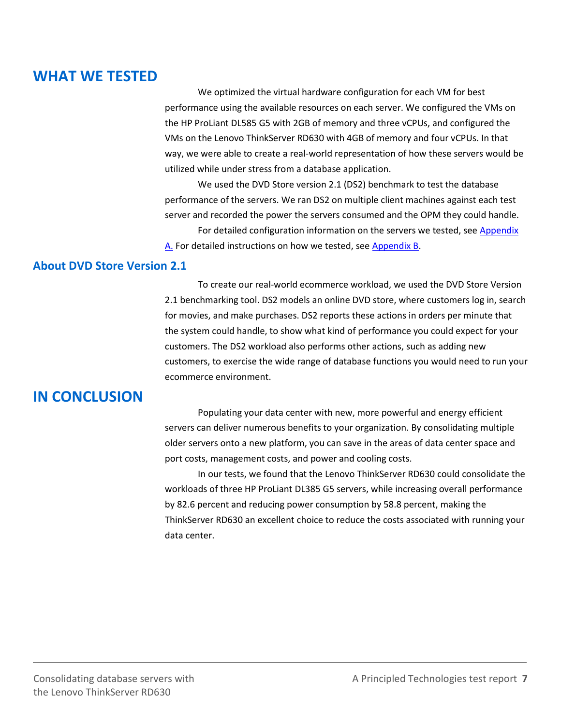## **WHAT WE TESTED**

We optimized the virtual hardware configuration for each VM for best performance using the available resources on each server. We configured the VMs on the HP ProLiant DL585 G5 with 2GB of memory and three vCPUs, and configured the VMs on the Lenovo ThinkServer RD630 with 4GB of memory and four vCPUs. In that way, we were able to create a real-world representation of how these servers would be utilized while under stress from a database application.

We used the DVD Store version 2.1 (DS2) benchmark to test the database performance of the servers. We ran DS2 on multiple client machines against each test server and recorded the power the servers consumed and the OPM they could handle.

For detailed configuration information on the servers we tested, se[e Appendix](#page-7-0) [A.](#page-7-0) For detailed instructions on how we tested, see [Appendix B.](#page-10-0)

### **About DVD Store Version 2.1**

To create our real-world ecommerce workload, we used the DVD Store Version 2.1 benchmarking tool. DS2 models an online DVD store, where customers log in, search for movies, and make purchases. DS2 reports these actions in orders per minute that the system could handle, to show what kind of performance you could expect for your customers. The DS2 workload also performs other actions, such as adding new customers, to exercise the wide range of database functions you would need to run your ecommerce environment.

### **IN CONCLUSION**

Populating your data center with new, more powerful and energy efficient servers can deliver numerous benefits to your organization. By consolidating multiple older servers onto a new platform, you can save in the areas of data center space and port costs, management costs, and power and cooling costs.

In our tests, we found that the Lenovo ThinkServer RD630 could consolidate the workloads of three HP ProLiant DL385 G5 servers, while increasing overall performance by 82.6 percent and reducing power consumption by 58.8 percent, making the ThinkServer RD630 an excellent choice to reduce the costs associated with running your data center.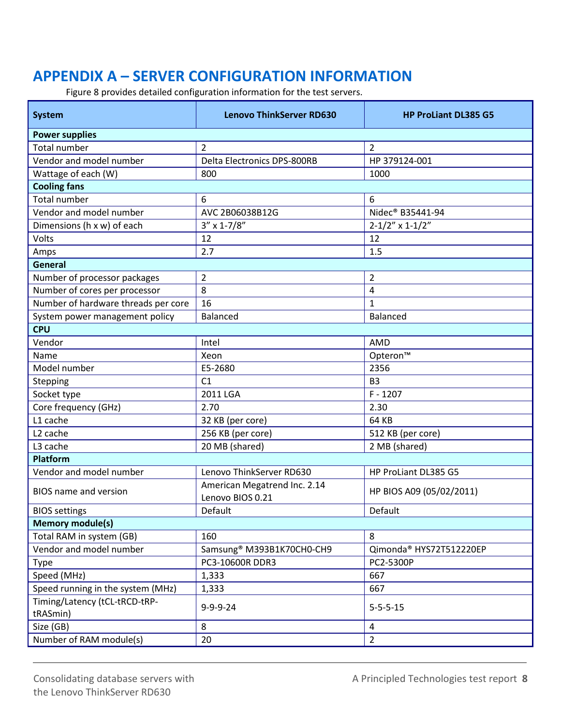# <span id="page-7-0"></span>**APPENDIX A – SERVER CONFIGURATION INFORMATION**

Figure 8 provides detailed configuration information for the test servers.

| <b>System</b>                             | <b>Lenovo ThinkServer RD630</b>                  | <b>HP ProLiant DL385 G5</b>  |  |  |
|-------------------------------------------|--------------------------------------------------|------------------------------|--|--|
| <b>Power supplies</b>                     |                                                  |                              |  |  |
| <b>Total number</b>                       | $\overline{2}$                                   | $\overline{2}$               |  |  |
| Vendor and model number                   | <b>Delta Electronics DPS-800RB</b>               | HP 379124-001                |  |  |
| Wattage of each (W)                       | 800                                              | 1000                         |  |  |
| <b>Cooling fans</b>                       |                                                  |                              |  |  |
| <b>Total number</b>                       | 6                                                | 6                            |  |  |
| Vendor and model number                   | AVC 2B06038B12G                                  | Nidec <sup>®</sup> B35441-94 |  |  |
| Dimensions (h x w) of each                | $3'' \times 1 - 7/8''$                           | $2 - 1/2" \times 1 - 1/2"$   |  |  |
| Volts                                     | 12                                               | 12                           |  |  |
| Amps                                      | 2.7                                              | 1.5                          |  |  |
| General                                   |                                                  |                              |  |  |
| Number of processor packages              | $\overline{2}$                                   | $\overline{2}$               |  |  |
| Number of cores per processor             | 8                                                | 4                            |  |  |
| Number of hardware threads per core       | 16                                               | $\mathbf{1}$                 |  |  |
| System power management policy            | <b>Balanced</b>                                  | Balanced                     |  |  |
| <b>CPU</b>                                |                                                  |                              |  |  |
| Vendor                                    | Intel                                            | AMD                          |  |  |
| Name                                      | Xeon                                             | Opteron™                     |  |  |
| Model number                              | E5-2680                                          | 2356                         |  |  |
| Stepping                                  | C1                                               | B <sub>3</sub>               |  |  |
| Socket type                               | 2011 LGA                                         | $F - 1207$                   |  |  |
| Core frequency (GHz)                      | 2.70                                             | 2.30                         |  |  |
| L1 cache                                  | 32 KB (per core)                                 | 64 KB                        |  |  |
| L <sub>2</sub> cache                      | 256 KB (per core)                                | 512 KB (per core)            |  |  |
| L3 cache                                  | 20 MB (shared)                                   | 2 MB (shared)                |  |  |
| <b>Platform</b>                           |                                                  |                              |  |  |
| Vendor and model number                   | Lenovo ThinkServer RD630                         | HP ProLiant DL385 G5         |  |  |
| <b>BIOS</b> name and version              | American Megatrend Inc. 2.14<br>Lenovo BIOS 0.21 | HP BIOS A09 (05/02/2011)     |  |  |
| <b>BIOS</b> settings                      | Default                                          | Default                      |  |  |
| <b>Memory module(s)</b>                   |                                                  |                              |  |  |
| Total RAM in system (GB)                  | 160                                              | 8                            |  |  |
| Vendor and model number                   | Samsung® M393B1K70CH0-CH9                        | Qimonda® HYS72T512220EP      |  |  |
| <b>Type</b>                               | PC3-10600R DDR3                                  | PC2-5300P                    |  |  |
| Speed (MHz)                               | 1,333                                            | 667                          |  |  |
| Speed running in the system (MHz)         | 1,333                                            | 667                          |  |  |
| Timing/Latency (tCL-tRCD-tRP-<br>tRASmin) | $9 - 9 - 9 - 24$                                 | $5 - 5 - 5 - 15$             |  |  |
| Size (GB)                                 | 8                                                | $\overline{4}$               |  |  |
| Number of RAM module(s)                   | 20                                               | $\overline{2}$               |  |  |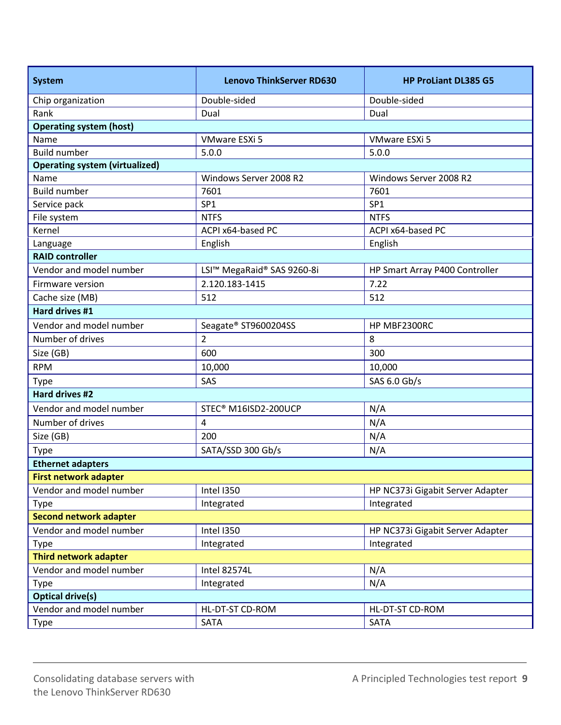| <b>System</b>                         | <b>Lenovo ThinkServer RD630</b> | <b>HP ProLiant DL385 G5</b>      |  |
|---------------------------------------|---------------------------------|----------------------------------|--|
| Chip organization                     | Double-sided                    | Double-sided                     |  |
| Rank                                  | Dual                            | Dual                             |  |
| <b>Operating system (host)</b>        |                                 |                                  |  |
| Name                                  | VMware ESXi 5                   | VMware ESXi 5                    |  |
| <b>Build number</b>                   | 5.0.0                           | 5.0.0                            |  |
| <b>Operating system (virtualized)</b> |                                 |                                  |  |
| Name                                  | Windows Server 2008 R2          | Windows Server 2008 R2           |  |
| <b>Build number</b>                   | 7601                            | 7601                             |  |
| Service pack                          | SP <sub>1</sub>                 | SP <sub>1</sub>                  |  |
| File system                           | <b>NTFS</b>                     | <b>NTFS</b>                      |  |
| Kernel                                | ACPI x64-based PC               | ACPI x64-based PC                |  |
| Language                              | English                         | English                          |  |
| <b>RAID controller</b>                |                                 |                                  |  |
| Vendor and model number               | LSI™ MegaRaid® SAS 9260-8i      | HP Smart Array P400 Controller   |  |
| Firmware version                      | 2.120.183-1415                  | 7.22                             |  |
| Cache size (MB)                       | 512                             | 512                              |  |
| Hard drives #1                        |                                 |                                  |  |
| Vendor and model number               | Seagate® ST9600204SS            | HP MBF2300RC                     |  |
| Number of drives                      | $\overline{2}$                  | 8                                |  |
| Size (GB)                             | 600                             | 300                              |  |
| <b>RPM</b>                            | 10,000                          | 10,000                           |  |
| <b>Type</b>                           | SAS                             | SAS 6.0 Gb/s                     |  |
| <b>Hard drives #2</b>                 |                                 |                                  |  |
| Vendor and model number               | STEC® M16ISD2-200UCP            | N/A                              |  |
| Number of drives                      | $\overline{4}$                  | N/A                              |  |
| Size (GB)                             | 200                             | N/A                              |  |
| Type                                  | SATA/SSD 300 Gb/s               | N/A                              |  |
| <b>Ethernet adapters</b>              |                                 |                                  |  |
| <b>First network adapter</b>          |                                 |                                  |  |
| Vendor and model number               | Intel I350                      | HP NC373i Gigabit Server Adapter |  |
| Type                                  | Integrated                      | Integrated                       |  |
| <b>Second network adapter</b>         |                                 |                                  |  |
| Vendor and model number               | Intel I350                      | HP NC373i Gigabit Server Adapter |  |
| Type                                  | Integrated                      | Integrated                       |  |
| <b>Third network adapter</b>          |                                 |                                  |  |
| Vendor and model number               | <b>Intel 82574L</b>             | N/A                              |  |
| <b>Type</b>                           | Integrated                      | N/A                              |  |
| <b>Optical drive(s)</b>               |                                 |                                  |  |
| Vendor and model number               | HL-DT-ST CD-ROM                 | HL-DT-ST CD-ROM                  |  |
| Type                                  | SATA                            | SATA                             |  |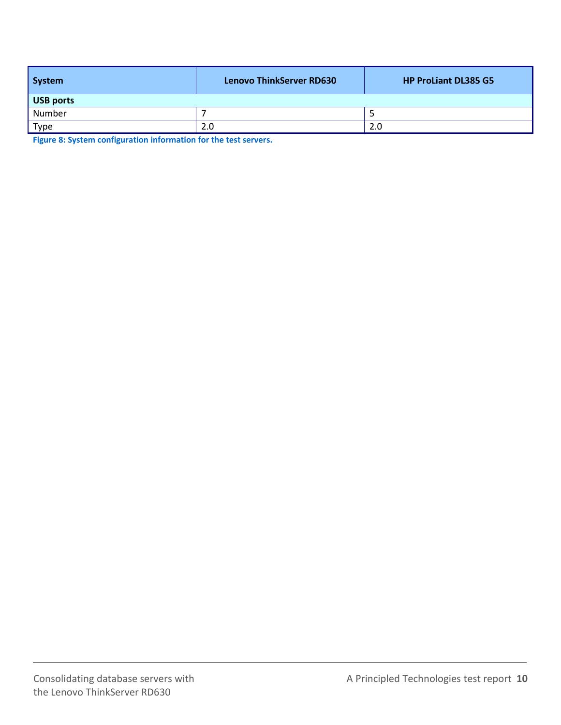| System    | <b>Lenovo ThinkServer RD630</b> | <b>HP ProLiant DL385 G5</b> |
|-----------|---------------------------------|-----------------------------|
| USB ports |                                 |                             |
| Number    |                                 |                             |
| Type      | 2.0                             | 2.0                         |

**Figure 8: System configuration information for the test servers.**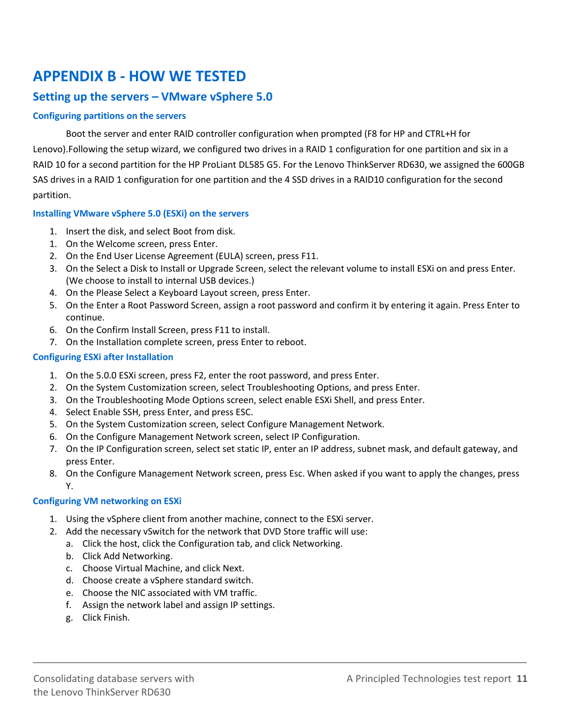# <span id="page-10-0"></span>**APPENDIX B - HOW WE TESTED**

### **Setting up the servers – VMware vSphere 5.0**

#### **Configuring partitions on the servers**

Boot the server and enter RAID controller configuration when prompted (F8 for HP and CTRL+H for Lenovo).Following the setup wizard, we configured two drives in a RAID 1 configuration for one partition and six in a RAID 10 for a second partition for the HP ProLiant DL585 G5. For the Lenovo ThinkServer RD630, we assigned the 600GB SAS drives in a RAID 1 configuration for one partition and the 4 SSD drives in a RAID10 configuration for the second partition.

#### **Installing VMware vSphere 5.0 (ESXi) on the servers**

- 1. Insert the disk, and select Boot from disk.
- 1. On the Welcome screen, press Enter.
- 2. On the End User License Agreement (EULA) screen, press F11.
- 3. On the Select a Disk to Install or Upgrade Screen, select the relevant volume to install ESXi on and press Enter. (We choose to install to internal USB devices.)
- 4. On the Please Select a Keyboard Layout screen, press Enter.
- 5. On the Enter a Root Password Screen, assign a root password and confirm it by entering it again. Press Enter to continue.
- 6. On the Confirm Install Screen, press F11 to install.
- 7. On the Installation complete screen, press Enter to reboot.

#### **Configuring ESXi after Installation**

- 1. On the 5.0.0 ESXi screen, press F2, enter the root password, and press Enter.
- 2. On the System Customization screen, select Troubleshooting Options, and press Enter.
- 3. On the Troubleshooting Mode Options screen, select enable ESXi Shell, and press Enter.
- 4. Select Enable SSH, press Enter, and press ESC.
- 5. On the System Customization screen, select Configure Management Network.
- 6. On the Configure Management Network screen, select IP Configuration.
- 7. On the IP Configuration screen, select set static IP, enter an IP address, subnet mask, and default gateway, and press Enter.
- 8. On the Configure Management Network screen, press Esc. When asked if you want to apply the changes, press Y.

#### **Configuring VM networking on ESXi**

- 1. Using the vSphere client from another machine, connect to the ESXi server.
- 2. Add the necessary vSwitch for the network that DVD Store traffic will use:
	- a. Click the host, click the Configuration tab, and click Networking.
	- b. Click Add Networking.
	- c. Choose Virtual Machine, and click Next.
	- d. Choose create a vSphere standard switch.
	- e. Choose the NIC associated with VM traffic.
	- f. Assign the network label and assign IP settings.
	- g. Click Finish.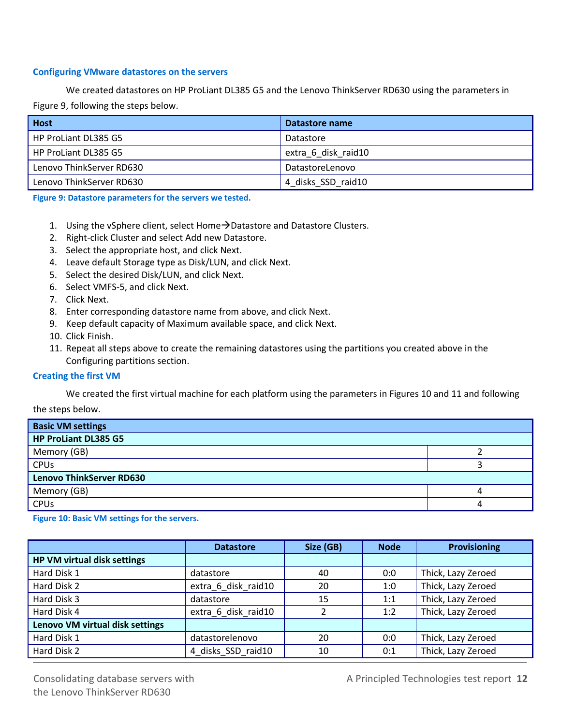#### **Configuring VMware datastores on the servers**

We created datastores on HP ProLiant DL385 G5 and the Lenovo ThinkServer RD630 using the parameters in Figure 9, following the steps below.

| Host                     | Datastore name      |
|--------------------------|---------------------|
| HP ProLiant DL385 G5     | Datastore           |
| HP ProLiant DL385 G5     | extra 6 disk raid10 |
| Lenovo ThinkServer RD630 | DatastoreLenovo     |
| Lenovo ThinkServer RD630 | 4 disks SSD raid10  |

**Figure 9: Datastore parameters for the servers we tested.**

- 1. Using the vSphere client, select Home $\rightarrow$ Datastore and Datastore Clusters.
- 2. Right-click Cluster and select Add new Datastore.
- 3. Select the appropriate host, and click Next.
- 4. Leave default Storage type as Disk/LUN, and click Next.
- 5. Select the desired Disk/LUN, and click Next.
- 6. Select VMFS-5, and click Next.
- 7. Click Next.
- 8. Enter corresponding datastore name from above, and click Next.
- 9. Keep default capacity of Maximum available space, and click Next.
- 10. Click Finish.
- 11. Repeat all steps above to create the remaining datastores using the partitions you created above in the Configuring partitions section.

#### **Creating the first VM**

We created the first virtual machine for each platform using the parameters in Figures 10 and 11 and following

the steps below.

| <b>Basic VM settings</b>        |  |  |
|---------------------------------|--|--|
| HP ProLiant DL385 G5            |  |  |
| Memory (GB)                     |  |  |
| <b>CPUs</b>                     |  |  |
| <b>Lenovo ThinkServer RD630</b> |  |  |
| Memory (GB)                     |  |  |
| CPUs                            |  |  |

**Figure 10: Basic VM settings for the servers.**

|                                 | <b>Datastore</b>    | Size (GB) | <b>Node</b> | <b>Provisioning</b> |
|---------------------------------|---------------------|-----------|-------------|---------------------|
| HP VM virtual disk settings     |                     |           |             |                     |
| Hard Disk 1                     | datastore           | 40        | 0:0         | Thick, Lazy Zeroed  |
| Hard Disk 2                     | extra 6 disk raid10 | 20        | 1:0         | Thick, Lazy Zeroed  |
| Hard Disk 3                     | datastore           | 15        | 1:1         | Thick, Lazy Zeroed  |
| Hard Disk 4                     | extra 6 disk raid10 |           | 1:2         | Thick, Lazy Zeroed  |
| Lenovo VM virtual disk settings |                     |           |             |                     |
| Hard Disk 1                     | datastorelenovo     | 20        | 0:0         | Thick, Lazy Zeroed  |
| Hard Disk 2                     | 4 disks SSD raid10  | 10        | 0:1         | Thick, Lazy Zeroed  |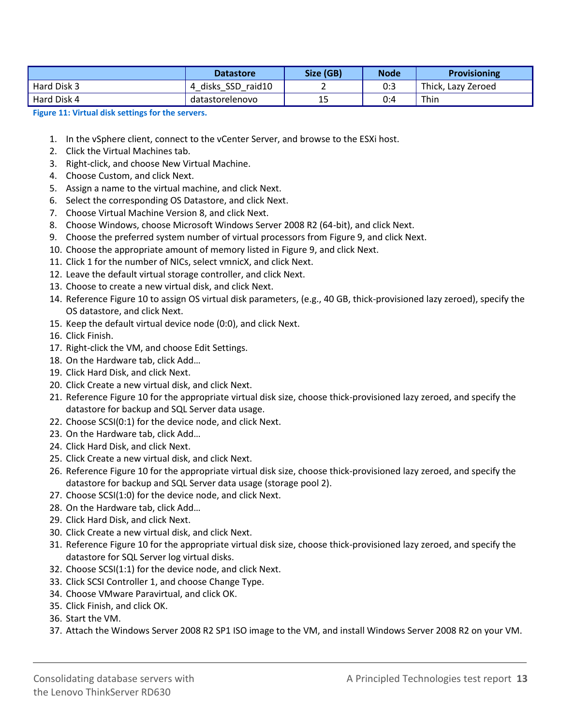|             | <b>Datastore</b>      | Size (GB) | <b>Node</b> | <b>Provisioning</b> |
|-------------|-----------------------|-----------|-------------|---------------------|
| Hard Disk 3 | disks SSD raid10<br>4 |           | 0:3         | Thick, Lazy Zeroed  |
| Hard Disk 4 | datastorelenovo       | 15        | 0:4         | Thin                |

**Figure 11: Virtual disk settings for the servers.**

- 1. In the vSphere client, connect to the vCenter Server, and browse to the ESXi host.
- 2. Click the Virtual Machines tab.
- 3. Right-click, and choose New Virtual Machine.
- 4. Choose Custom, and click Next.
- 5. Assign a name to the virtual machine, and click Next.
- 6. Select the corresponding OS Datastore, and click Next.
- 7. Choose Virtual Machine Version 8, and click Next.
- 8. Choose Windows, choose Microsoft Windows Server 2008 R2 (64-bit), and click Next.
- 9. Choose the preferred system number of virtual processors from Figure 9, and click Next.
- 10. Choose the appropriate amount of memory listed in Figure 9, and click Next.
- 11. Click 1 for the number of NICs, select vmnicX, and click Next.
- 12. Leave the default virtual storage controller, and click Next.
- 13. Choose to create a new virtual disk, and click Next.
- 14. Reference Figure 10 to assign OS virtual disk parameters, (e.g., 40 GB, thick-provisioned lazy zeroed), specify the OS datastore, and click Next.
- 15. Keep the default virtual device node (0:0), and click Next.
- 16. Click Finish.
- 17. Right-click the VM, and choose Edit Settings.
- 18. On the Hardware tab, click Add…
- 19. Click Hard Disk, and click Next.
- 20. Click Create a new virtual disk, and click Next.
- 21. Reference Figure 10 for the appropriate virtual disk size, choose thick-provisioned lazy zeroed, and specify the datastore for backup and SQL Server data usage.
- 22. Choose SCSI(0:1) for the device node, and click Next.
- 23. On the Hardware tab, click Add…
- 24. Click Hard Disk, and click Next.
- 25. Click Create a new virtual disk, and click Next.
- 26. Reference Figure 10 for the appropriate virtual disk size, choose thick-provisioned lazy zeroed, and specify the datastore for backup and SQL Server data usage (storage pool 2).
- 27. Choose SCSI(1:0) for the device node, and click Next.
- 28. On the Hardware tab, click Add…
- 29. Click Hard Disk, and click Next.
- 30. Click Create a new virtual disk, and click Next.
- 31. Reference Figure 10 for the appropriate virtual disk size, choose thick-provisioned lazy zeroed, and specify the datastore for SQL Server log virtual disks.
- 32. Choose SCSI(1:1) for the device node, and click Next.
- 33. Click SCSI Controller 1, and choose Change Type.
- 34. Choose VMware Paravirtual, and click OK.
- 35. Click Finish, and click OK.
- 36. Start the VM.
- 37. Attach the Windows Server 2008 R2 SP1 ISO image to the VM, and install Windows Server 2008 R2 on your VM.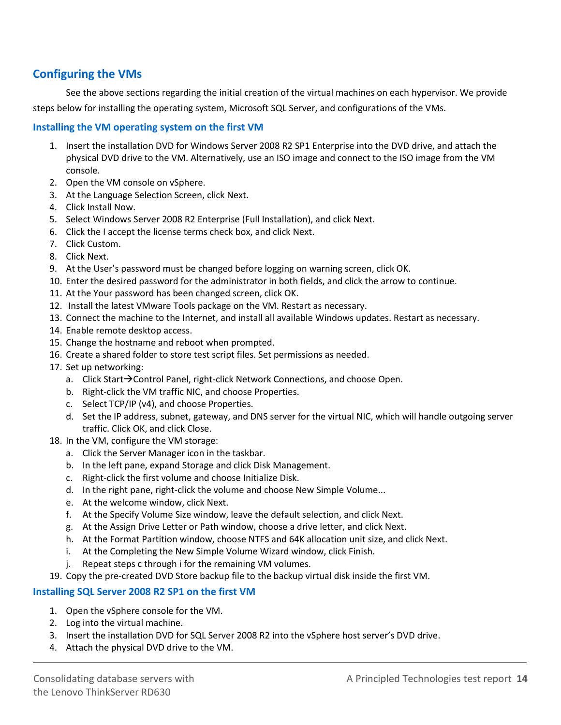### **Configuring the VMs**

See the above sections regarding the initial creation of the virtual machines on each hypervisor. We provide steps below for installing the operating system, Microsoft SQL Server, and configurations of the VMs.

#### **Installing the VM operating system on the first VM**

- 1. Insert the installation DVD for Windows Server 2008 R2 SP1 Enterprise into the DVD drive, and attach the physical DVD drive to the VM. Alternatively, use an ISO image and connect to the ISO image from the VM console.
- 2. Open the VM console on vSphere.
- 3. At the Language Selection Screen, click Next.
- 4. Click Install Now.
- 5. Select Windows Server 2008 R2 Enterprise (Full Installation), and click Next.
- 6. Click the I accept the license terms check box, and click Next.
- 7. Click Custom.
- 8. Click Next.
- 9. At the User's password must be changed before logging on warning screen, click OK.
- 10. Enter the desired password for the administrator in both fields, and click the arrow to continue.
- 11. At the Your password has been changed screen, click OK.
- 12. Install the latest VMware Tools package on the VM. Restart as necessary.
- 13. Connect the machine to the Internet, and install all available Windows updates. Restart as necessary.
- 14. Enable remote desktop access.
- 15. Change the hostname and reboot when prompted.
- 16. Create a shared folder to store test script files. Set permissions as needed.
- 17. Set up networking:
	- a. Click Start $\rightarrow$ Control Panel, right-click Network Connections, and choose Open.
	- b. Right-click the VM traffic NIC, and choose Properties.
	- c. Select TCP/IP (v4), and choose Properties.
	- d. Set the IP address, subnet, gateway, and DNS server for the virtual NIC, which will handle outgoing server traffic. Click OK, and click Close.
- 18. In the VM, configure the VM storage:
	- a. Click the Server Manager icon in the taskbar.
	- b. In the left pane, expand Storage and click Disk Management.
	- c. Right-click the first volume and choose Initialize Disk.
	- d. In the right pane, right-click the volume and choose New Simple Volume...
	- e. At the welcome window, click Next.
	- f. At the Specify Volume Size window, leave the default selection, and click Next.
	- g. At the Assign Drive Letter or Path window, choose a drive letter, and click Next.
	- h. At the Format Partition window, choose NTFS and 64K allocation unit size, and click Next.
	- i. At the Completing the New Simple Volume Wizard window, click Finish.
	- j. Repeat steps c through i for the remaining VM volumes.
- 19. Copy the pre-created DVD Store backup file to the backup virtual disk inside the first VM.

### **Installing SQL Server 2008 R2 SP1 on the first VM**

- 1. Open the vSphere console for the VM.
- 2. Log into the virtual machine.
- 3. Insert the installation DVD for SQL Server 2008 R2 into the vSphere host server's DVD drive.
- 4. Attach the physical DVD drive to the VM.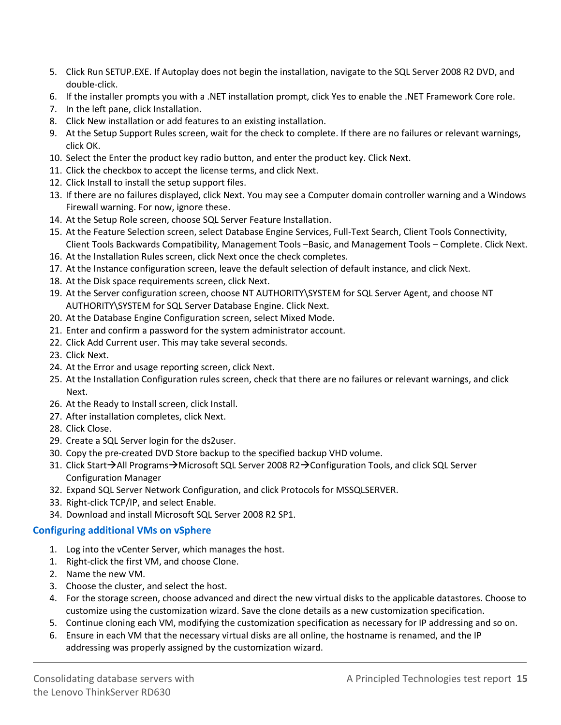- 5. Click Run SETUP.EXE. If Autoplay does not begin the installation, navigate to the SQL Server 2008 R2 DVD, and double-click.
- 6. If the installer prompts you with a .NET installation prompt, click Yes to enable the .NET Framework Core role.
- 7. In the left pane, click Installation.
- 8. Click New installation or add features to an existing installation.
- 9. At the Setup Support Rules screen, wait for the check to complete. If there are no failures or relevant warnings, click OK.
- 10. Select the Enter the product key radio button, and enter the product key. Click Next.
- 11. Click the checkbox to accept the license terms, and click Next.
- 12. Click Install to install the setup support files.
- 13. If there are no failures displayed, click Next. You may see a Computer domain controller warning and a Windows Firewall warning. For now, ignore these.
- 14. At the Setup Role screen, choose SQL Server Feature Installation.
- 15. At the Feature Selection screen, select Database Engine Services, Full-Text Search, Client Tools Connectivity, Client Tools Backwards Compatibility, Management Tools –Basic, and Management Tools – Complete. Click Next.
- 16. At the Installation Rules screen, click Next once the check completes.
- 17. At the Instance configuration screen, leave the default selection of default instance, and click Next.
- 18. At the Disk space requirements screen, click Next.
- 19. At the Server configuration screen, choose NT AUTHORITY\SYSTEM for SQL Server Agent, and choose NT AUTHORITY\SYSTEM for SQL Server Database Engine. Click Next.
- 20. At the Database Engine Configuration screen, select Mixed Mode.
- 21. Enter and confirm a password for the system administrator account.
- 22. Click Add Current user. This may take several seconds.
- 23. Click Next.
- 24. At the Error and usage reporting screen, click Next.
- 25. At the Installation Configuration rules screen, check that there are no failures or relevant warnings, and click Next.
- 26. At the Ready to Install screen, click Install.
- 27. After installation completes, click Next.
- 28. Click Close.
- 29. Create a SQL Server login for the ds2user.
- 30. Copy the pre-created DVD Store backup to the specified backup VHD volume.
- 31. Click Start→All Programs→Microsoft SQL Server 2008 R2→Configuration Tools, and click SQL Server Configuration Manager
- 32. Expand SQL Server Network Configuration, and click Protocols for MSSQLSERVER.
- 33. Right-click TCP/IP, and select Enable.
- 34. Download and install Microsoft SQL Server 2008 R2 SP1.

#### **Configuring additional VMs on vSphere**

- 1. Log into the vCenter Server, which manages the host.
- 1. Right-click the first VM, and choose Clone.
- 2. Name the new VM.
- 3. Choose the cluster, and select the host.
- 4. For the storage screen, choose advanced and direct the new virtual disks to the applicable datastores. Choose to customize using the customization wizard. Save the clone details as a new customization specification.
- 5. Continue cloning each VM, modifying the customization specification as necessary for IP addressing and so on.
- 6. Ensure in each VM that the necessary virtual disks are all online, the hostname is renamed, and the IP addressing was properly assigned by the customization wizard.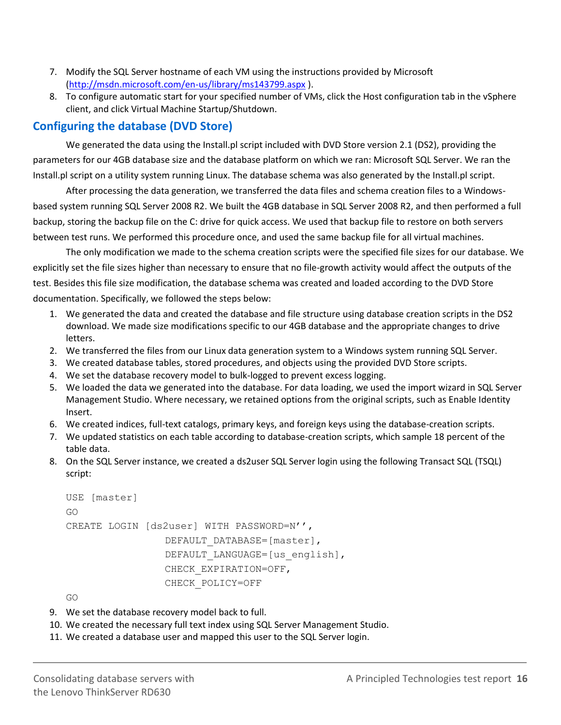- 7. Modify the SQL Server hostname of each VM using the instructions provided by Microsoft [\(http://msdn.microsoft.com/en-us/library/ms143799.aspx](http://msdn.microsoft.com/en-us/library/ms143799.aspx) ).
- 8. To configure automatic start for your specified number of VMs, click the Host configuration tab in the vSphere client, and click Virtual Machine Startup/Shutdown.

### **Configuring the database (DVD Store)**

We generated the data using the Install.pl script included with DVD Store version 2.1 (DS2), providing the parameters for our 4GB database size and the database platform on which we ran: Microsoft SQL Server. We ran the Install.pl script on a utility system running Linux. The database schema was also generated by the Install.pl script.

After processing the data generation, we transferred the data files and schema creation files to a Windowsbased system running SQL Server 2008 R2. We built the 4GB database in SQL Server 2008 R2, and then performed a full backup, storing the backup file on the C: drive for quick access. We used that backup file to restore on both servers between test runs. We performed this procedure once, and used the same backup file for all virtual machines.

The only modification we made to the schema creation scripts were the specified file sizes for our database. We explicitly set the file sizes higher than necessary to ensure that no file-growth activity would affect the outputs of the test. Besides this file size modification, the database schema was created and loaded according to the DVD Store documentation. Specifically, we followed the steps below:

- 1. We generated the data and created the database and file structure using database creation scripts in the DS2 download. We made size modifications specific to our 4GB database and the appropriate changes to drive letters.
- 2. We transferred the files from our Linux data generation system to a Windows system running SQL Server.
- 3. We created database tables, stored procedures, and objects using the provided DVD Store scripts.
- 4. We set the database recovery model to bulk-logged to prevent excess logging.
- 5. We loaded the data we generated into the database. For data loading, we used the import wizard in SQL Server Management Studio. Where necessary, we retained options from the original scripts, such as Enable Identity Insert.
- 6. We created indices, full-text catalogs, primary keys, and foreign keys using the database-creation scripts.
- 7. We updated statistics on each table according to database-creation scripts, which sample 18 percent of the table data.
- 8. On the SQL Server instance, we created a ds2user SQL Server login using the following Transact SQL (TSQL) script:

```
USE [master]
GO
CREATE LOGIN [ds2user] WITH PASSWORD=N'',
                DEFAULT_DATABASE=[master],
                DEFAULT_LANGUAGE=[us english],
                CHECK_EXPIRATION=OFF,
                CHECK_POLICY=OFF
```
GO

- 9. We set the database recovery model back to full.
- 10. We created the necessary full text index using SQL Server Management Studio.
- 11. We created a database user and mapped this user to the SQL Server login.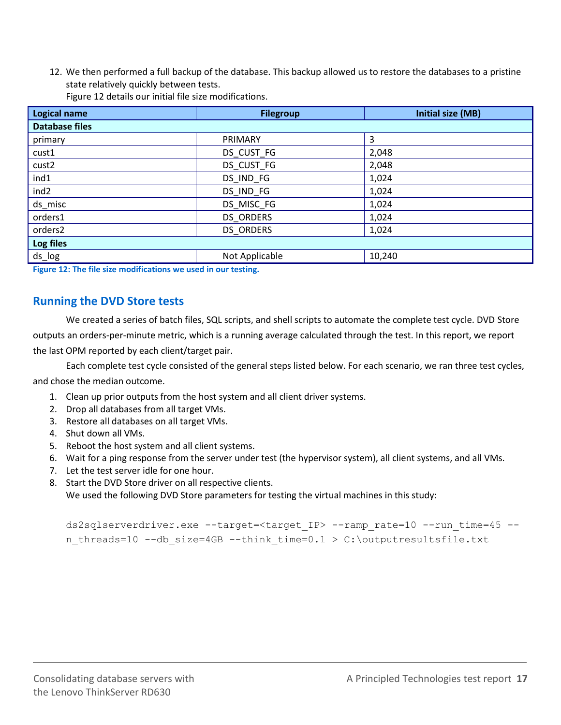12. We then performed a full backup of the database. This backup allowed us to restore the databases to a pristine state relatively quickly between tests.

| <b>Logical name</b>   | <b>Filegroup</b> | <b>Initial size (MB)</b> |  |  |
|-----------------------|------------------|--------------------------|--|--|
| <b>Database files</b> |                  |                          |  |  |
| primary               | PRIMARY          | 3                        |  |  |
| cust1                 | DS_CUST_FG       | 2,048                    |  |  |
| cust <sub>2</sub>     | DS_CUST_FG       | 2,048                    |  |  |
| ind1                  | DS_IND_FG        | 1,024                    |  |  |
| ind <sub>2</sub>      | DS_IND_FG        | 1,024                    |  |  |
| ds_misc               | DS MISC FG       | 1,024                    |  |  |
| orders1               | <b>DS ORDERS</b> | 1,024                    |  |  |
| orders2               | <b>DS ORDERS</b> | 1,024                    |  |  |
| Log files             |                  |                          |  |  |
| ds_log                | Not Applicable   | 10,240                   |  |  |

Figure 12 details our initial file size modifications.

**Figure 12: The file size modifications we used in our testing.**

### **Running the DVD Store tests**

We created a series of batch files, SQL scripts, and shell scripts to automate the complete test cycle. DVD Store outputs an orders-per-minute metric, which is a running average calculated through the test. In this report, we report the last OPM reported by each client/target pair.

Each complete test cycle consisted of the general steps listed below. For each scenario, we ran three test cycles, and chose the median outcome.

- 1. Clean up prior outputs from the host system and all client driver systems.
- 2. Drop all databases from all target VMs.
- 3. Restore all databases on all target VMs.
- 4. Shut down all VMs.
- 5. Reboot the host system and all client systems.
- 6. Wait for a ping response from the server under test (the hypervisor system), all client systems, and all VMs.
- 7. Let the test server idle for one hour.
- 8. Start the DVD Store driver on all respective clients.

We used the following DVD Store parameters for testing the virtual machines in this study:

```
ds2sqlserverdriver.exe --target=<target_IP> --ramp_rate=10 --run_time=45 --
n threads=10 --db size=4GB --think time=0.1 > C:\outputresultsfile.txt
```